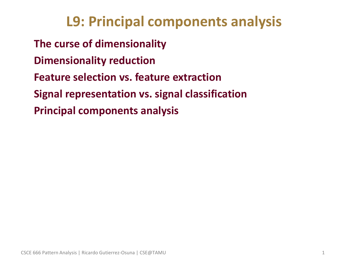## **L9: Principal components analysis**

• **The curse of dimensionality** • **Dimensionality reduction** • **Feature selection vs. feature extraction** • **Signal representation vs. signal classification** • **Principal components analysis**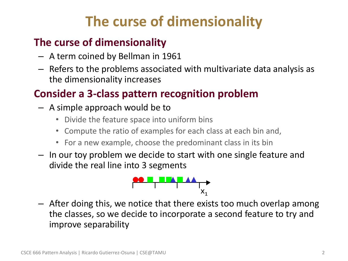# **The curse of dimensionality**

### • **The curse of dimensionality**

- A term coined by Bellman in 1961
- Refers to the problems associated with multivariate data analysis as the dimensionality increases

### • **Consider a 3-class pattern recognition problem**

- A simple approach would be to
	- Divide the feature space into uniform bins
	- Compute the ratio of examples for each class at each bin and,
	- For a new example, choose the predominant class in its bin
- In our toy problem we decide to start with one single feature and divide the real line into 3 segments



– After doing this, we notice that there exists too much overlap among the classes, so we decide to incorporate a second feature to try and improve separability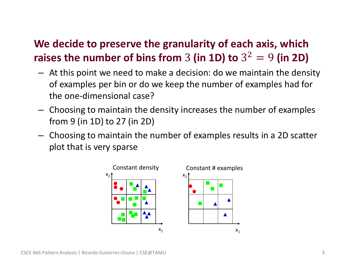### • **We decide to preserve the granularity of each axis, which**  raises the number of bins from  $3$  (in 1D) to  $3^2 = 9$  (in 2D)

- At this point we need to make a decision: do we maintain the density of examples per bin or do we keep the number of examples had for the one-dimensional case?
- Choosing to maintain the density increases the number of examples from 9 (in 1D) to 27 (in 2D)
- Choosing to maintain the number of examples results in a 2D scatter plot that is very sparse

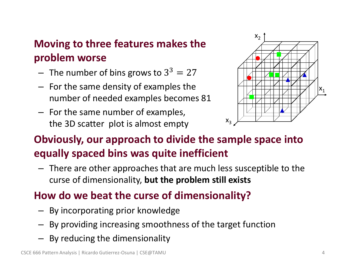### • **Moving to three features makes the problem worse**

- $-$  The number of bins grows to  $3^3 = 27$
- For the same density of examples the number of needed examples becomes 81
- For the same number of examples, the 3D scatter plot is almost empty



### • **Obviously, our approach to divide the sample space into equally spaced bins was quite inefficient**

– There are other approaches that are much less susceptible to the curse of dimensionality, **but the problem still exists**

#### • **How do we beat the curse of dimensionality?**

- By incorporating prior knowledge
- By providing increasing smoothness of the target function
- By reducing the dimensionality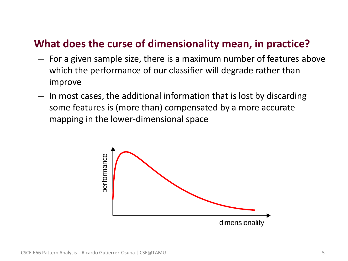#### • **What does the curse of dimensionality mean, in practice?**

- For a given sample size, there is a maximum number of features above which the performance of our classifier will degrade rather than improve
- In most cases, the additional information that is lost by discarding some features is (more than) compensated by a more accurate mapping in the lower-dimensional space

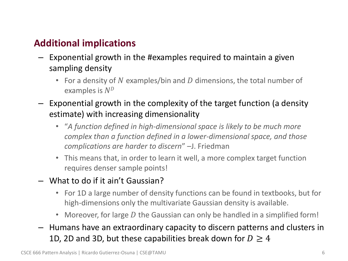#### • **Additional implications**

- Exponential growth in the #examples required to maintain a given sampling density
	- For a density of N examples/bin and D dimensions, the total number of examples is  $N^D$
- Exponential growth in the complexity of the target function (a density estimate) with increasing dimensionality
	- "*A function defined in high-dimensional space is likely to be much more complex than a function defined in a lower-dimensional space, and those complications are harder to discern*" –J. Friedman
	- This means that, in order to learn it well, a more complex target function requires denser sample points!
- What to do if it ain't Gaussian?
	- For 1D a large number of density functions can be found in textbooks, but for high-dimensions only the multivariate Gaussian density is available.
	- Moreover, for large D the Gaussian can only be handled in a simplified form!
- Humans have an extraordinary capacity to discern patterns and clusters in 1D, 2D and 3D, but these capabilities break down for  $D \geq 4$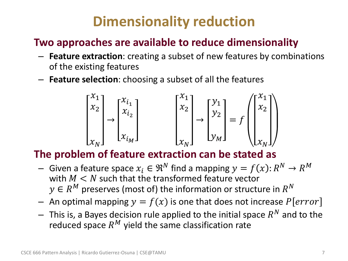# **Dimensionality reduction**

### • **Two approaches are available to reduce dimensionality**

- **Feature extraction**: creating a subset of new features by combinations of the existing features
- **Feature selection**: choosing a subset of all the features

$$
\begin{bmatrix} x_1 \\ x_2 \\ \vdots \\ x_N \end{bmatrix} \rightarrow \begin{bmatrix} x_{i_1} \\ x_{i_2} \\ \vdots \\ x_{i_M} \end{bmatrix} \qquad \qquad \begin{bmatrix} x_1 \\ x_2 \\ \vdots \\ x_N \end{bmatrix} \rightarrow \begin{bmatrix} y_1 \\ y_2 \\ \vdots \\ y_M \end{bmatrix} = f \left( \begin{bmatrix} x_1 \\ x_2 \\ \vdots \\ x_N \end{bmatrix} \right)
$$

#### • **The problem of feature extraction can be stated as**

- $-$  Given a feature space  $x_i \in \Re^N$  find a mapping  $y = f(x)$ :  $R^N \rightarrow R^M$ with  $M < N$  such that the transformed feature vector  $y \in R^M$  preserves (most of) the information or structure in  $R^N$
- An optimal mapping  $y = f(x)$  is one that does not increase  $P[error]$
- $-$  This is, a Bayes decision rule applied to the initial space  $R^N$  and to the reduced space  $R^M$  yield the same classification rate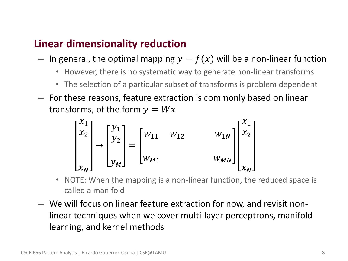#### • **Linear dimensionality reduction**

- In general, the optimal mapping  $y = f(x)$  will be a non-linear function
	- However, there is no systematic way to generate non-linear transforms
	- The selection of a particular subset of transforms is problem dependent
- For these reasons, feature extraction is commonly based on linear transforms, of the form  $y = Wx$

$$
\begin{bmatrix} x_1 \\ x_2 \\ \vdots \\ x_N \end{bmatrix} \rightarrow \begin{bmatrix} y_1 \\ y_2 \\ \vdots \\ y_M \end{bmatrix} = \begin{bmatrix} w_{11} & w_{12} & w_{1N} \\ w_{M1} & \vdots & w_{NN} \end{bmatrix} \begin{bmatrix} x_1 \\ x_2 \\ \vdots \\ x_N \end{bmatrix}
$$

- NOTE: When the mapping is a non-linear function, the reduced space is called a manifold
- We will focus on linear feature extraction for now, and revisit nonlinear techniques when we cover multi-layer perceptrons, manifold learning, and kernel methods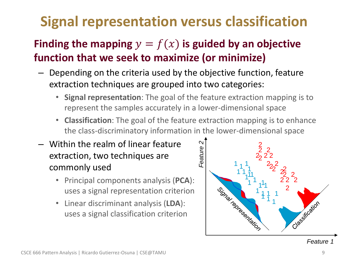# **Signal representation versus classification**

## Finding the mapping  $y = f(x)$  is guided by an objective **function that we seek to maximize (or minimize)**

- Depending on the criteria used by the objective function, feature extraction techniques are grouped into two categories:
	- **Signal representation**: The goal of the feature extraction mapping is to represent the samples accurately in a lower-dimensional space
	- **Classification**: The goal of the feature extraction mapping is to enhance the class-discriminatory information in the lower-dimensional space
- Within the realm of linear feature extraction, two techniques are commonly used
	- Principal components analysis (**PCA**): uses a signal representation criterion
	- Linear discriminant analysis (**LDA**): uses a signal classification criterion



*Feature*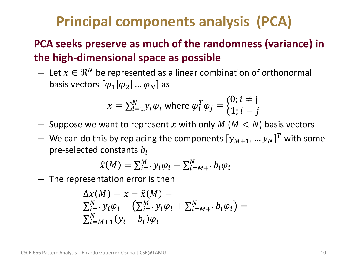# **Principal components analysis (PCA)**

### • **PCA seeks preserve as much of the randomness (variance) in the high-dimensional space as possible**

– Let  $x \in \mathbb{R}^N$  be represented as a linear combination of orthonormal basis vectors  $[\varphi_1 | \varphi_2 | ... \varphi_N]$  as

$$
x = \sum_{i=1}^{N} y_i \varphi_i \text{ where } \varphi_i^T \varphi_j = \begin{cases} 0; i \neq j \\ 1; i = j \end{cases}
$$

- Suppose we want to represent x with only M ( $M < N$ ) basis vectors
- $-$  We can do this by replacing the components  $[y_{M+1},..., y_N]^T$  with some pre-selected constants  $b_i$

$$
\hat{x}(M) = \sum_{i=1}^{M} y_i \varphi_i + \sum_{i=M+1}^{N} b_i \varphi_i
$$

– The representation error is then

$$
\Delta x(M) = x - \hat{x}(M) =
$$
  
\n
$$
\sum_{i=1}^{N} y_i \varphi_i - (\sum_{i=1}^{M} y_i \varphi_i + \sum_{i=M+1}^{N} b_i \varphi_i) =
$$
  
\n
$$
\sum_{i=M+1}^{N} (y_i - b_i) \varphi_i
$$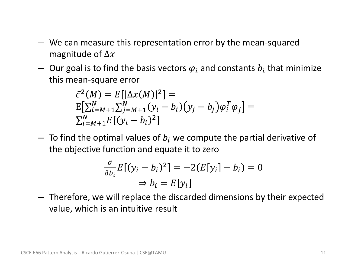- We can measure this representation error by the mean-squared magnitude of  $\Delta x$
- $-$  Our goal is to find the basis vectors  $\varphi_i$  and constants  $b_i$  that minimize this mean-square error

$$
\bar{\epsilon}^{2}(M) = E[|\Delta x(M)|^{2}] =
$$
  
\n
$$
E[\sum_{i=M+1}^{N} \sum_{j=M+1}^{N} (y_{i} - b_{i})(y_{j} - b_{j}) \varphi_{i}^{T} \varphi_{j}] =
$$
  
\n
$$
\sum_{i=M+1}^{N} E[(y_{i} - b_{i})^{2}]
$$

 $-$  To find the optimal values of  $b_i$  we compute the partial derivative of the objective function and equate it to zero

$$
\frac{\partial}{\partial b_i} E[(y_i - b_i)^2] = -2(E[y_i] - b_i) = 0
$$
  
\n
$$
\Rightarrow b_i = E[y_i]
$$

– Therefore, we will replace the discarded dimensions by their expected value, which is an intuitive result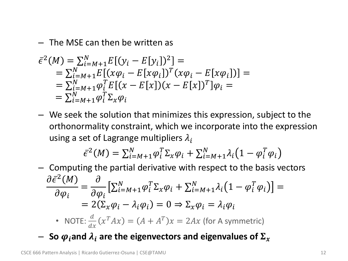#### – The MSE can then be written as

$$
\begin{aligned} \bar{\epsilon}^2(M) &= \sum_{i=M+1}^N E[(y_i - E[y_i])^2] = \\ &= \sum_{i=M+1}^N E[(x\varphi_i - E[x\varphi_i])^T (x\varphi_i - E[x\varphi_i])] = \\ &= \sum_{i=M+1}^N \varphi_i^T E[(x - E[x])(x - E[x])^T] \varphi_i = \\ &= \sum_{i=M+1}^N \varphi_i^T \Sigma_x \varphi_i \end{aligned}
$$

– We seek the solution that minimizes this expression, subject to the orthonormality constraint, which we incorporate into the expression using a set of Lagrange multipliers  $\lambda_i$ 

$$
\bar{\epsilon}^2(M) = \sum_{i=M+1}^{N} \varphi_i^T \Sigma_x \varphi_i + \sum_{i=M+1}^{N} \lambda_i (1 - \varphi_i^T \varphi_i)
$$

- Computing the partial derivative with respect to the basis vectors  $\partial \bar{\epsilon}^2(M$  $\partial\varphi_i$ =  $\partial$  $\partial\varphi_i$  $\sum_{i=M+1}^{N} \varphi_i^T \Sigma_x \varphi_i + \sum_{i=M+1}^{N} \lambda_i (1 - \varphi_i^T \varphi_i) \big] =$  $= 2(\Sigma_{\alpha} \varphi_i - \lambda_i \varphi_i) = 0 \Rightarrow \Sigma_{\alpha} \varphi_i = \lambda_i \varphi_i$ • NOTE:  $\frac{d}{dx}$  $x^T A x$ ) =  $(A + A^T)x = 2Ax$  (for A symmetric)
- $-$  So  $\boldsymbol{\varphi}_i$  and  $\lambda_i$  are the eigenvectors and eigenvalues of  $\boldsymbol{\Sigma}_x$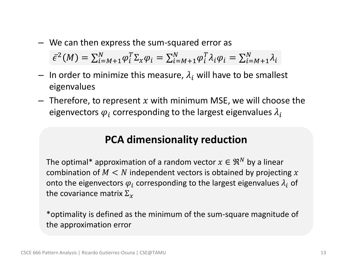- We can then express the sum-squared error as  $\bar{\epsilon}^2(M) = \sum_{i=M+1}^N \varphi_i^T \Sigma_x \varphi_i = \sum_{i=M+1}^N \varphi_i^T \lambda_i \varphi_i = \sum_{i=M+1}^N \lambda_i$
- In order to minimize this measure,  $\lambda_i$  will have to be smallest eigenvalues
- Therefore, to represent x with minimum MSE, we will choose the eigenvectors  $\varphi_i$  corresponding to the largest eigenvalues  $\lambda_i$

#### **PCA dimensionality reduction**

The optimal\* approximation of a random vector  $x \in \mathbb{R}^N$  by a linear combination of  $M < N$  independent vectors is obtained by projecting x onto the eigenvectors  $\varphi_i$  corresponding to the largest eigenvalues  $\lambda_i$  of the covariance matrix  $\Sigma_{\alpha}$ 

\*optimality is defined as the minimum of the sum-square magnitude of the approximation error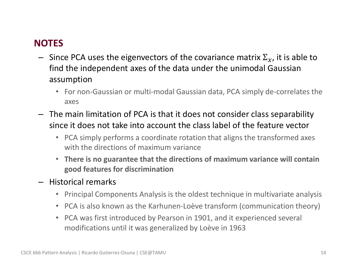#### • **NOTES**

- Since PCA uses the eigenvectors of the covariance matrix  $\Sigma_{\gamma}$ , it is able to find the independent axes of the data under the unimodal Gaussian assumption
	- For non-Gaussian or multi-modal Gaussian data, PCA simply de-correlates the axes
- The main limitation of PCA is that it does not consider class separability since it does not take into account the class label of the feature vector
	- PCA simply performs a coordinate rotation that aligns the transformed axes with the directions of maximum variance
	- **There is no guarantee that the directions of maximum variance will contain good features for discrimination**
- Historical remarks
	- Principal Components Analysis is the oldest technique in multivariate analysis
	- PCA is also known as the Karhunen-Loève transform (communication theory)
	- PCA was first introduced by Pearson in 1901, and it experienced several modifications until it was generalized by Loève in 1963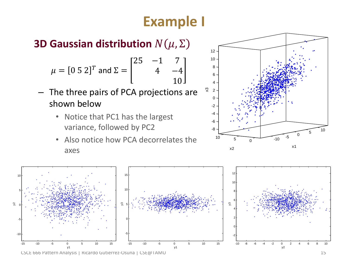# **Example I**

### **3D Gaussian distribution**  $N(\mu, \Sigma)$

$$
\mu = [0 \ 5 \ 2]^T \text{ and } \Sigma = \begin{bmatrix} 25 & -1 & 7 \\ 4 & -4 \\ 10 & 1 \end{bmatrix}
$$

- The three pairs of PCA projections are shown below
	- Notice that PC1 has the largest variance, followed by PC2
	- Also notice how PCA decorrelates the axes



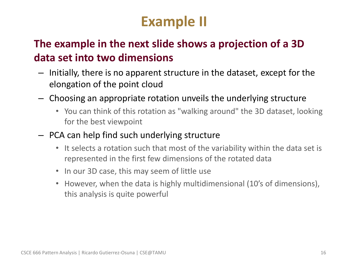# **Example II**

### • **The example in the next slide shows a projection of a 3D data set into two dimensions**

- Initially, there is no apparent structure in the dataset, except for the elongation of the point cloud
- Choosing an appropriate rotation unveils the underlying structure
	- You can think of this rotation as "walking around" the 3D dataset, looking for the best viewpoint
- PCA can help find such underlying structure
	- It selects a rotation such that most of the variability within the data set is represented in the first few dimensions of the rotated data
	- In our 3D case, this may seem of little use
	- However, when the data is highly multidimensional (10's of dimensions), this analysis is quite powerful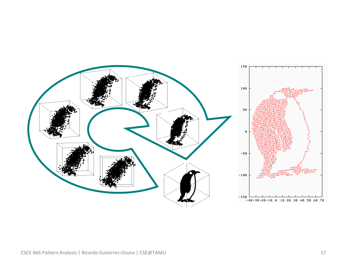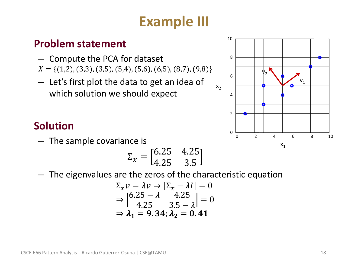# **Example III**

#### • **Problem statement**

- Compute the PCA for dataset
- $X = \{(1,2), (3,3), (3,5), (5,4), (5,6), (6,5), (8,7), (9,8)\}\$
- Let's first plot the data to get an idea of which solution we should expect

### • **Solution**

– The sample covariance is

$$
\Sigma_x = \begin{bmatrix} 6.25 & 4.25 \\ 4.25 & 3.5 \end{bmatrix}
$$

– The eigenvalues are the zeros of the characteristic equation

$$
\Sigma_x \nu = \lambda \nu \Rightarrow |\Sigma_x - \lambda I| = 0
$$
  
\n
$$
\Rightarrow | \begin{array}{c} 6.25 - \lambda & 4.25 \\ 4.25 & 3.5 - \lambda \end{array} | = 0
$$
  
\n
$$
\Rightarrow \lambda_1 = 9.34; \lambda_2 = 0.41
$$